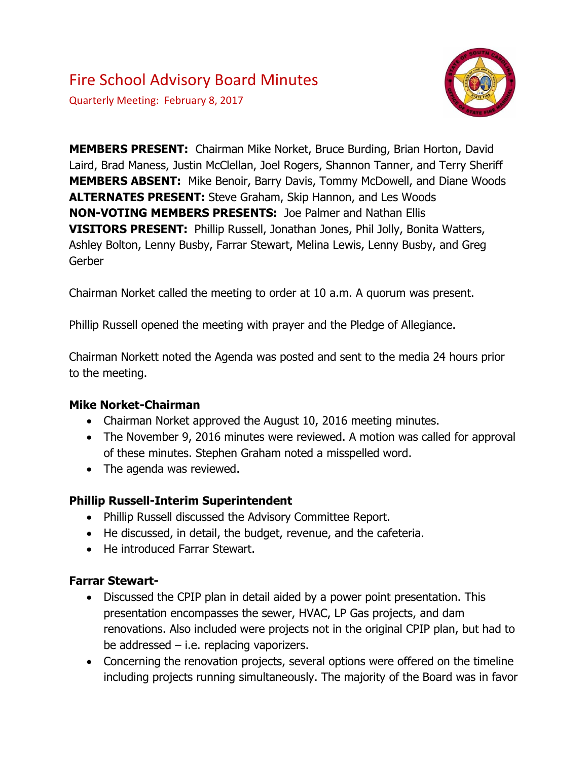# Fire School Advisory Board Minutes

Quarterly Meeting: February 8, 2017



**MEMBERS PRESENT:** Chairman Mike Norket, Bruce Burding, Brian Horton, David Laird, Brad Maness, Justin McClellan, Joel Rogers, Shannon Tanner, and Terry Sheriff **MEMBERS ABSENT:** Mike Benoir, Barry Davis, Tommy McDowell, and Diane Woods **ALTERNATES PRESENT:** Steve Graham, Skip Hannon, and Les Woods **NON-VOTING MEMBERS PRESENTS:** Joe Palmer and Nathan Ellis **VISITORS PRESENT:** Phillip Russell, Jonathan Jones, Phil Jolly, Bonita Watters, Ashley Bolton, Lenny Busby, Farrar Stewart, Melina Lewis, Lenny Busby, and Greg Gerber

Chairman Norket called the meeting to order at 10 a.m. A quorum was present.

Phillip Russell opened the meeting with prayer and the Pledge of Allegiance.

Chairman Norkett noted the Agenda was posted and sent to the media 24 hours prior to the meeting.

### **Mike Norket-Chairman**

- Chairman Norket approved the August 10, 2016 meeting minutes.
- The November 9, 2016 minutes were reviewed. A motion was called for approval of these minutes. Stephen Graham noted a misspelled word.
- The agenda was reviewed.

### **Phillip Russell-Interim Superintendent**

- Phillip Russell discussed the Advisory Committee Report.
- He discussed, in detail, the budget, revenue, and the cafeteria.
- He introduced Farrar Stewart.

### **Farrar Stewart-**

- Discussed the CPIP plan in detail aided by a power point presentation. This presentation encompasses the sewer, HVAC, LP Gas projects, and dam renovations. Also included were projects not in the original CPIP plan, but had to be addressed – i.e. replacing vaporizers.
- Concerning the renovation projects, several options were offered on the timeline including projects running simultaneously. The majority of the Board was in favor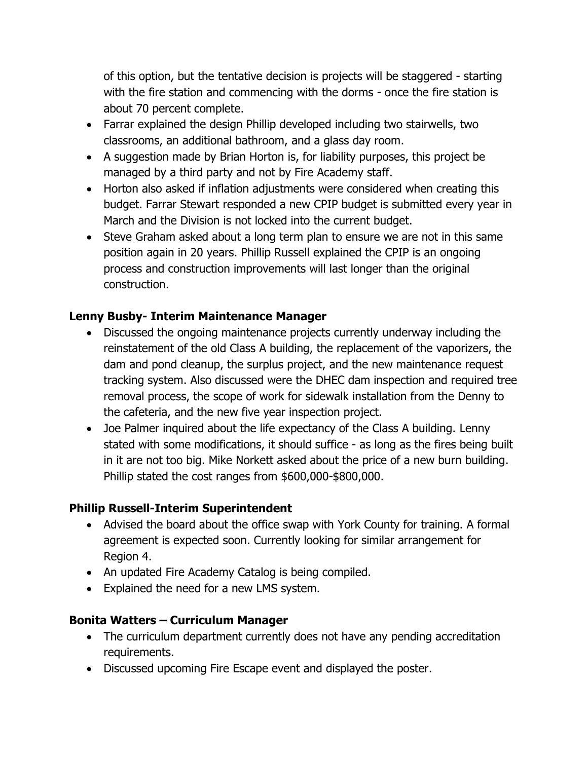of this option, but the tentative decision is projects will be staggered - starting with the fire station and commencing with the dorms - once the fire station is about 70 percent complete.

- Farrar explained the design Phillip developed including two stairwells, two classrooms, an additional bathroom, and a glass day room.
- A suggestion made by Brian Horton is, for liability purposes, this project be managed by a third party and not by Fire Academy staff.
- Horton also asked if inflation adjustments were considered when creating this budget. Farrar Stewart responded a new CPIP budget is submitted every year in March and the Division is not locked into the current budget.
- Steve Graham asked about a long term plan to ensure we are not in this same position again in 20 years. Phillip Russell explained the CPIP is an ongoing process and construction improvements will last longer than the original construction.

# **Lenny Busby- Interim Maintenance Manager**

- Discussed the ongoing maintenance projects currently underway including the reinstatement of the old Class A building, the replacement of the vaporizers, the dam and pond cleanup, the surplus project, and the new maintenance request tracking system. Also discussed were the DHEC dam inspection and required tree removal process, the scope of work for sidewalk installation from the Denny to the cafeteria, and the new five year inspection project.
- Joe Palmer inquired about the life expectancy of the Class A building. Lenny stated with some modifications, it should suffice - as long as the fires being built in it are not too big. Mike Norkett asked about the price of a new burn building. Phillip stated the cost ranges from \$600,000-\$800,000.

# **Phillip Russell-Interim Superintendent**

- Advised the board about the office swap with York County for training. A formal agreement is expected soon. Currently looking for similar arrangement for Region 4.
- An updated Fire Academy Catalog is being compiled.
- Explained the need for a new LMS system.

# **Bonita Watters – Curriculum Manager**

- The curriculum department currently does not have any pending accreditation requirements.
- Discussed upcoming Fire Escape event and displayed the poster.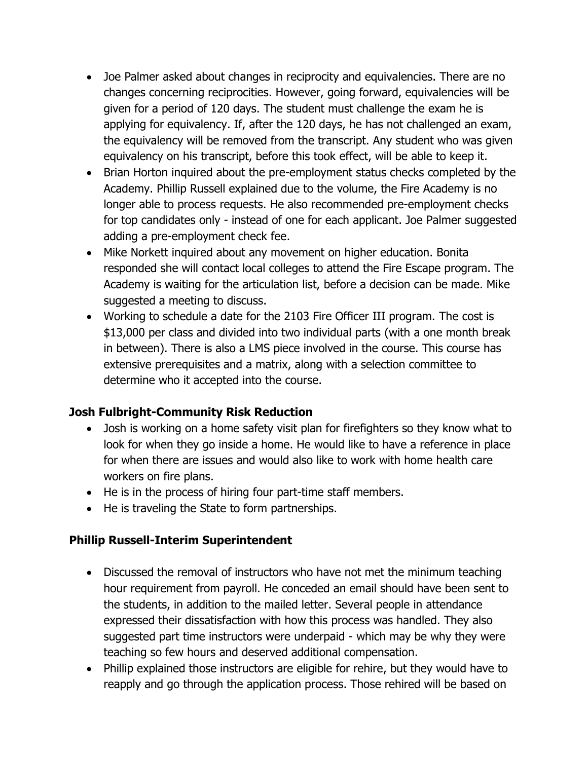- Joe Palmer asked about changes in reciprocity and equivalencies. There are no changes concerning reciprocities. However, going forward, equivalencies will be given for a period of 120 days. The student must challenge the exam he is applying for equivalency. If, after the 120 days, he has not challenged an exam, the equivalency will be removed from the transcript. Any student who was given equivalency on his transcript, before this took effect, will be able to keep it.
- Brian Horton inquired about the pre-employment status checks completed by the Academy. Phillip Russell explained due to the volume, the Fire Academy is no longer able to process requests. He also recommended pre-employment checks for top candidates only - instead of one for each applicant. Joe Palmer suggested adding a pre-employment check fee.
- Mike Norkett inquired about any movement on higher education. Bonita responded she will contact local colleges to attend the Fire Escape program. The Academy is waiting for the articulation list, before a decision can be made. Mike suggested a meeting to discuss.
- Working to schedule a date for the 2103 Fire Officer III program. The cost is \$13,000 per class and divided into two individual parts (with a one month break in between). There is also a LMS piece involved in the course. This course has extensive prerequisites and a matrix, along with a selection committee to determine who it accepted into the course.

# **Josh Fulbright-Community Risk Reduction**

- Josh is working on a home safety visit plan for firefighters so they know what to look for when they go inside a home. He would like to have a reference in place for when there are issues and would also like to work with home health care workers on fire plans.
- He is in the process of hiring four part-time staff members.
- He is traveling the State to form partnerships.

# **Phillip Russell-Interim Superintendent**

- Discussed the removal of instructors who have not met the minimum teaching hour requirement from payroll. He conceded an email should have been sent to the students, in addition to the mailed letter. Several people in attendance expressed their dissatisfaction with how this process was handled. They also suggested part time instructors were underpaid - which may be why they were teaching so few hours and deserved additional compensation.
- Phillip explained those instructors are eligible for rehire, but they would have to reapply and go through the application process. Those rehired will be based on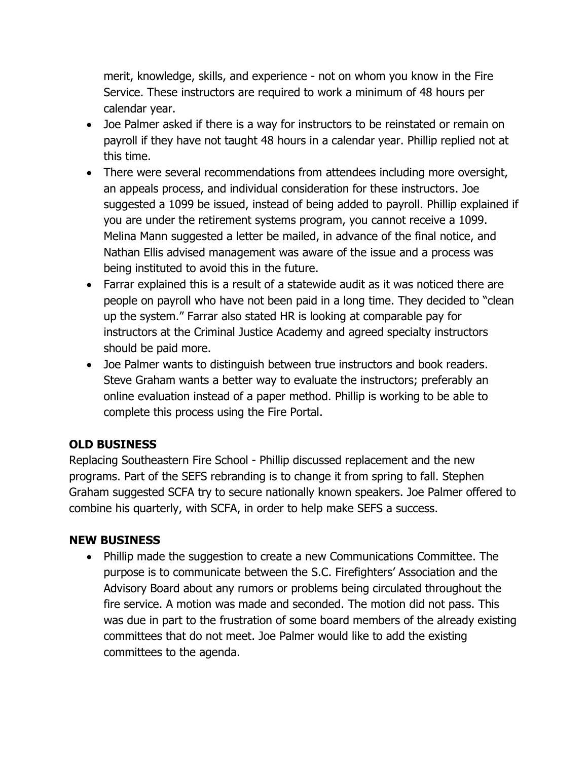merit, knowledge, skills, and experience - not on whom you know in the Fire Service. These instructors are required to work a minimum of 48 hours per calendar year.

- Joe Palmer asked if there is a way for instructors to be reinstated or remain on payroll if they have not taught 48 hours in a calendar year. Phillip replied not at this time.
- There were several recommendations from attendees including more oversight, an appeals process, and individual consideration for these instructors. Joe suggested a 1099 be issued, instead of being added to payroll. Phillip explained if you are under the retirement systems program, you cannot receive a 1099. Melina Mann suggested a letter be mailed, in advance of the final notice, and Nathan Ellis advised management was aware of the issue and a process was being instituted to avoid this in the future.
- Farrar explained this is a result of a statewide audit as it was noticed there are people on payroll who have not been paid in a long time. They decided to "clean up the system." Farrar also stated HR is looking at comparable pay for instructors at the Criminal Justice Academy and agreed specialty instructors should be paid more.
- Joe Palmer wants to distinguish between true instructors and book readers. Steve Graham wants a better way to evaluate the instructors; preferably an online evaluation instead of a paper method. Phillip is working to be able to complete this process using the Fire Portal.

# **OLD BUSINESS**

Replacing Southeastern Fire School - Phillip discussed replacement and the new programs. Part of the SEFS rebranding is to change it from spring to fall. Stephen Graham suggested SCFA try to secure nationally known speakers. Joe Palmer offered to combine his quarterly, with SCFA, in order to help make SEFS a success.

# **NEW BUSINESS**

 Phillip made the suggestion to create a new Communications Committee. The purpose is to communicate between the S.C. Firefighters' Association and the Advisory Board about any rumors or problems being circulated throughout the fire service. A motion was made and seconded. The motion did not pass. This was due in part to the frustration of some board members of the already existing committees that do not meet. Joe Palmer would like to add the existing committees to the agenda.